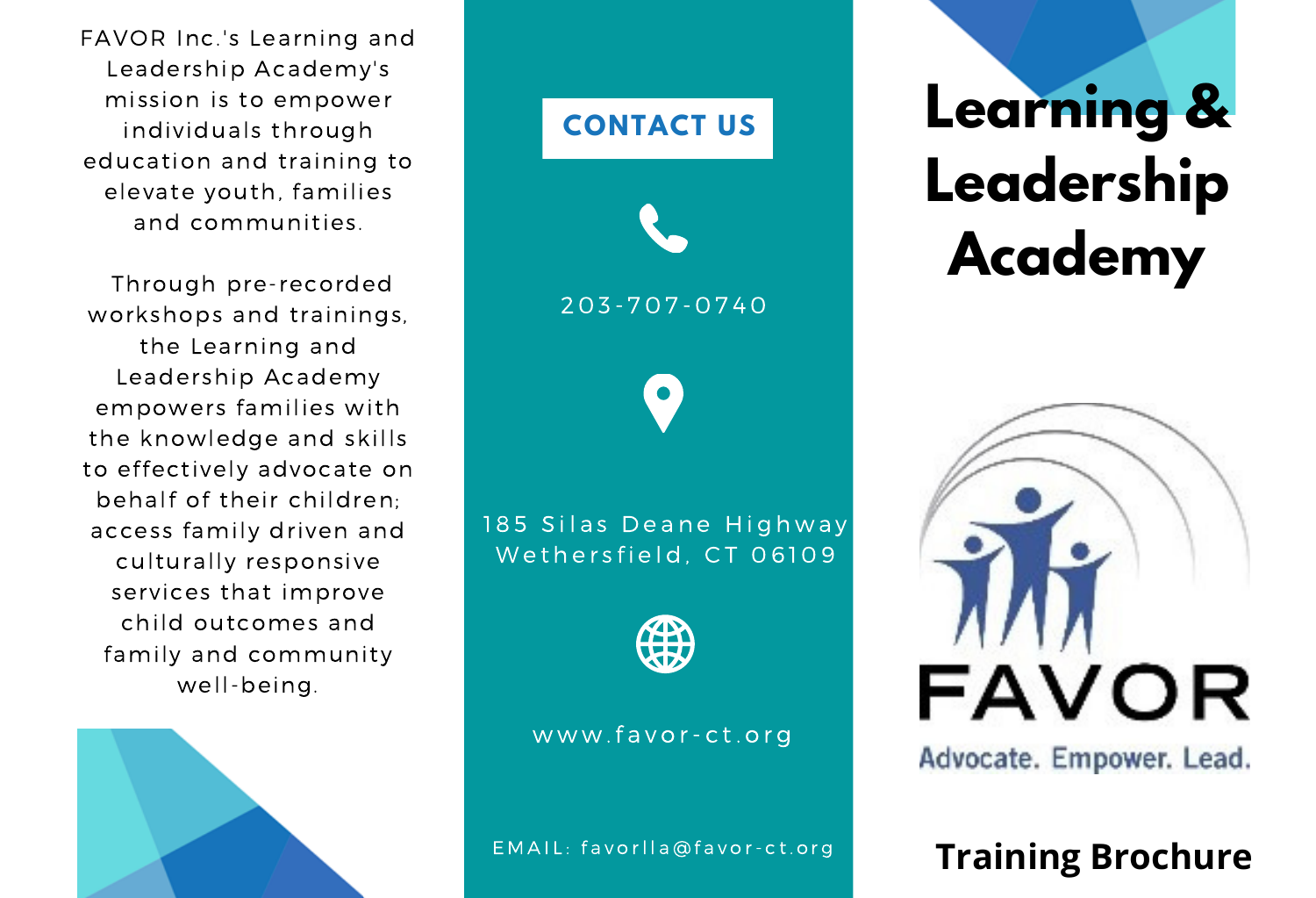FAVOR Inc.'s Learning and Leadership Academy's mission is to empower individuals through education and training to elevate youth, families and communities.

Through pre-recorded workshops and trainings, the Learning and Leadership Academy empowers families with the knowledge and skills to effectively advocate on behalf of their children; access family driven and culturally responsive services that improve child outcomes and family and community well-being.





# **Learning & Leadership Academy**



Advocate. Empower. Lead.

## **Training Brochure**